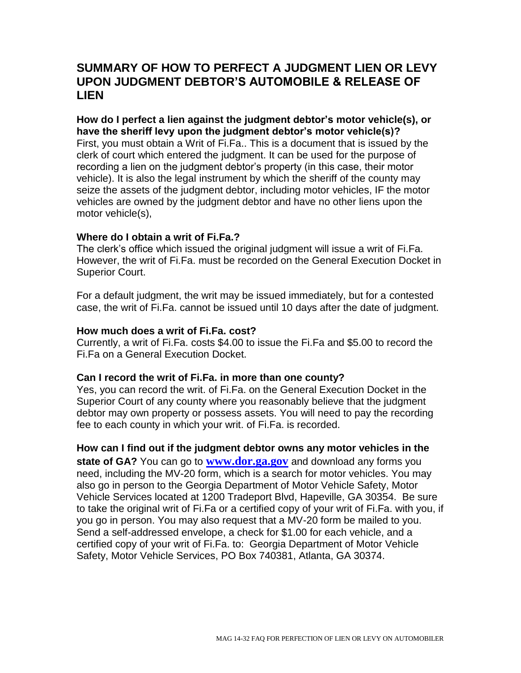# **SUMMARY OF HOW TO PERFECT A JUDGMENT LIEN OR LEVY UPON JUDGMENT DEBTOR'S AUTOMOBILE & RELEASE OF LIEN**

**How do I perfect a lien against the judgment debtor's motor vehicle(s), or have the sheriff levy upon the judgment debtor's motor vehicle(s)?** First, you must obtain a Writ of Fi.Fa.. This is a document that is issued by the clerk of court which entered the judgment. It can be used for the purpose of recording a lien on the judgment debtor's property (in this case, their motor vehicle). It is also the legal instrument by which the sheriff of the county may seize the assets of the judgment debtor, including motor vehicles, IF the motor vehicles are owned by the judgment debtor and have no other liens upon the motor vehicle(s),

## **Where do I obtain a writ of Fi.Fa.?**

The clerk's office which issued the original judgment will issue a writ of Fi.Fa. However, the writ of Fi.Fa. must be recorded on the General Execution Docket in Superior Court.

For a default judgment, the writ may be issued immediately, but for a contested case, the writ of Fi.Fa. cannot be issued until 10 days after the date of judgment.

### **How much does a writ of Fi.Fa. cost?**

Currently, a writ of Fi.Fa. costs \$4.00 to issue the Fi.Fa and \$5.00 to record the Fi.Fa on a General Execution Docket.

### **Can I record the writ of Fi.Fa. in more than one county?**

Yes, you can record the writ. of Fi.Fa. on the General Execution Docket in the Superior Court of any county where you reasonably believe that the judgment debtor may own property or possess assets. You will need to pay the recording fee to each county in which your writ. of Fi.Fa. is recorded.

# **How can I find out if the judgment debtor owns any motor vehicles in the**

**state of GA?** You can go to **[www.dor.ga.gov](http://www.dor.ga.gov/)** and download any forms you need, including the MV-20 form, which is a search for motor vehicles. You may also go in person to the Georgia Department of Motor Vehicle Safety, Motor Vehicle Services located at 1200 Tradeport Blvd, Hapeville, GA 30354. Be sure to take the original writ of Fi.Fa or a certified copy of your writ of Fi.Fa. with you, if you go in person. You may also request that a MV-20 form be mailed to you. Send a self-addressed envelope, a check for \$1.00 for each vehicle, and a certified copy of your writ of Fi.Fa. to: Georgia Department of Motor Vehicle Safety, Motor Vehicle Services, PO Box 740381, Atlanta, GA 30374.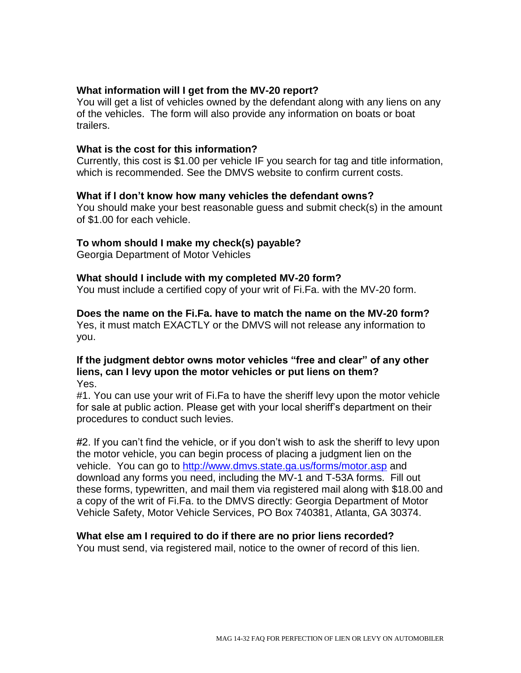# **What information will I get from the MV-20 report?**

You will get a list of vehicles owned by the defendant along with any liens on any of the vehicles. The form will also provide any information on boats or boat trailers.

### **What is the cost for this information?**

Currently, this cost is \$1.00 per vehicle IF you search for tag and title information, which is recommended. See the DMVS website to confirm current costs.

### **What if I don't know how many vehicles the defendant owns?**

You should make your best reasonable guess and submit check(s) in the amount of \$1.00 for each vehicle.

### **To whom should I make my check(s) payable?**

Georgia Department of Motor Vehicles

### **What should I include with my completed MV-20 form?**

You must include a certified copy of your writ of Fi.Fa. with the MV-20 form.

#### **Does the name on the Fi.Fa. have to match the name on the MV-20 form?**

Yes, it must match EXACTLY or the DMVS will not release any information to you.

#### **If the judgment debtor owns motor vehicles "free and clear" of any other liens, can I levy upon the motor vehicles or put liens on them?** Yes.

#1. You can use your writ of Fi.Fa to have the sheriff levy upon the motor vehicle for sale at public action. Please get with your local sheriff's department on their procedures to conduct such levies.

#2. If you can't find the vehicle, or if you don't wish to ask the sheriff to levy upon the motor vehicle, you can begin process of placing a judgment lien on the vehicle. You can go to<http://www.dmvs.state.ga.us/forms/motor.asp> and download any forms you need, including the MV-1 and T-53A forms. Fill out these forms, typewritten, and mail them via registered mail along with \$18.00 and a copy of the writ of Fi.Fa. to the DMVS directly: Georgia Department of Motor Vehicle Safety, Motor Vehicle Services, PO Box 740381, Atlanta, GA 30374.

#### **What else am I required to do if there are no prior liens recorded?**

You must send, via registered mail, notice to the owner of record of this lien.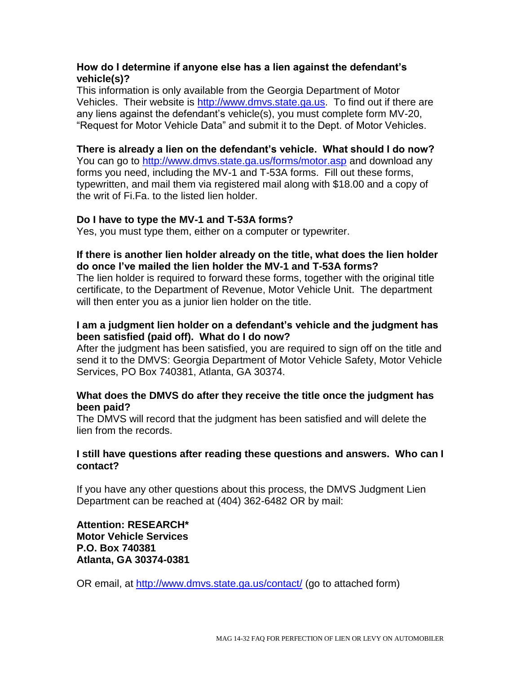## **How do I determine if anyone else has a lien against the defendant's vehicle(s)?**

This information is only available from the Georgia Department of Motor Vehicles. Their website is [http://www.dmvs.state.ga.us.](http://www.dmvs.state.ga.us/) To find out if there are any liens against the defendant's vehicle(s), you must complete form MV-20, "Request for Motor Vehicle Data" and submit it to the Dept. of Motor Vehicles.

# **There is already a lien on the defendant's vehicle. What should I do now?**

You can go to<http://www.dmvs.state.ga.us/forms/motor.asp> and download any forms you need, including the MV-1 and T-53A forms. Fill out these forms, typewritten, and mail them via registered mail along with \$18.00 and a copy of the writ of Fi.Fa. to the listed lien holder.

## **Do I have to type the MV-1 and T-53A forms?**

Yes, you must type them, either on a computer or typewriter.

## **If there is another lien holder already on the title, what does the lien holder do once I've mailed the lien holder the MV-1 and T-53A forms?**

The lien holder is required to forward these forms, together with the original title certificate, to the Department of Revenue, Motor Vehicle Unit. The department will then enter you as a junior lien holder on the title.

# **I am a judgment lien holder on a defendant's vehicle and the judgment has been satisfied (paid off). What do I do now?**

After the judgment has been satisfied, you are required to sign off on the title and send it to the DMVS: Georgia Department of Motor Vehicle Safety, Motor Vehicle Services, PO Box 740381, Atlanta, GA 30374.

## **What does the DMVS do after they receive the title once the judgment has been paid?**

The DMVS will record that the judgment has been satisfied and will delete the lien from the records.

## **I still have questions after reading these questions and answers. Who can I contact?**

If you have any other questions about this process, the DMVS Judgment Lien Department can be reached at (404) 362-6482 OR by mail:

## **Attention: RESEARCH\* Motor Vehicle Services P.O. Box 740381 Atlanta, GA 30374-0381**

OR email, at<http://www.dmvs.state.ga.us/contact/> (go to attached form)